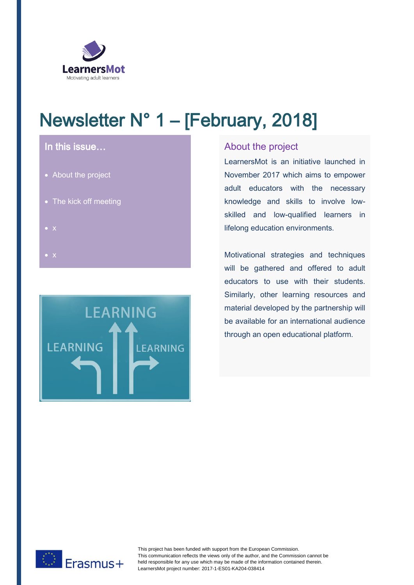

# Newsletter N° 1 – [February, 2018]

# In this issue…

- About the project
- The kick off meeting
- 
- $\bullet$   $\times$



## About the project

LearnersMot is an initiative launched in November 2017 which aims to empower adult educators with the necessary knowledge and skills to involve lowskilled and low-qualified learners in lifelong education environments.

Motivational strategies and techniques will be gathered and offered to adult educators to use with their students. Similarly, other learning resources and material developed by the partnership will be available for an international audience through an open educational platform.



This project has been funded with support from the European Commission. This communication reflects the views only of the author, and the Commission cannot be held responsible for any use which may be made of the information contained therein. LearnersMot project number: 2017-1-ES01-KA204-038414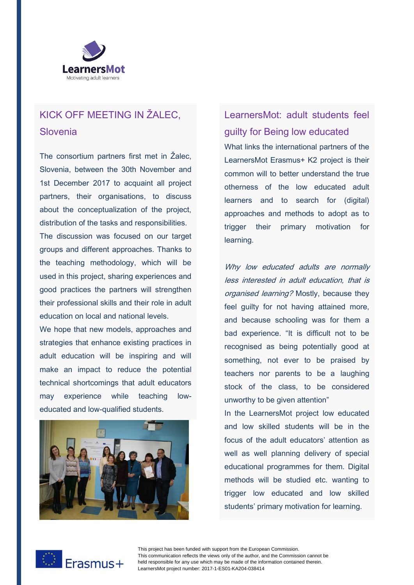

# KICK OFF MEETING IN ŽALEC, **Slovenia**

The consortium partners first met in Žalec, Slovenia, between the 30th November and 1st December 2017 to acquaint all project partners, their organisations, to discuss about the conceptualization of the project, distribution of the tasks and responsibilities.

The discussion was focused on our target groups and different approaches. Thanks to the teaching methodology, which will be used in this project, sharing experiences and good practices the partners will strengthen their professional skills and their role in adult education on local and national levels.

We hope that new models, approaches and strategies that enhance existing practices in adult education will be inspiring and will make an impact to reduce the potential technical shortcomings that adult educators may experience while teaching loweducated and low-qualified students.



LearnersMot: adult students feel guilty for Being low educated What links the international partners of the LearnersMot Erasmus+ K2 project is their common will to better understand the true otherness of the low educated adult learners and to search for (digital) approaches and methods to adopt as to trigger their primary motivation for

Why low educated adults are normally less interested in adult education, that is organised learning? Mostly, because they feel guilty for not having attained more, and because schooling was for them a bad experience. "It is difficult not to be recognised as being potentially good at something, not ever to be praised by teachers nor parents to be a laughing stock of the class, to be considered unworthy to be given attention"

In the LearnersMot project low educated and low skilled students will be in the focus of the adult educators' attention as well as well planning delivery of special educational programmes for them. Digital methods will be studied etc. wanting to trigger low educated and low skilled students' primary motivation for learning.



This project has been funded with support from the European Commission. This communication reflects the views only of the author, and the Commission cannot be held responsible for any use which may be made of the information contained therein. LearnersMot project number: 2017-1-ES01-KA204-038414

learning.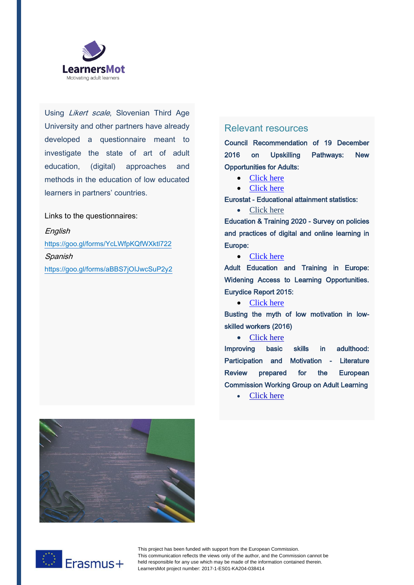

Using Likert scale, Slovenian Third Age University and other partners have already developed a questionnaire meant to investigate the state of art of adult education, (digital) approaches and methods in the education of low educated learners in partners' countries.

Links to the questionnaires:

**English** <https://goo.gl/forms/YcLWfpKQfWXktl722> Spanish https://goo.gl/forms/aBBS7jOIJwcSuP2y2

### Relevant resources

Council Recommendation of 19 December 2016 on Upskilling Pathways: New Opportunities for Adults:

- [Click here](•%09http:/eur-lex.europa.eu/legal-content/EN/TXT/?uri=OJ:JOC_2016_484_R_0001)
- [Click here](http://ec.europa.eu/social/main.jsp?catId=1224&langId=en)

Eurostat - Educational attainment statistics:

• [Click here](•%09http:/ec.europa.eu/eurostat/statistics-explained/index.php/Educational_attainment_statistics)

Education & Training 2020 - Survey on policies and practices of digital and online learning in Europe:

• [Click here](https://publications.europa.eu/en/publication-detail/-/publication/621e32df-4a75-43e3-b594-2d1dccc44640)

Adult Education and Training in Europe: Widening Access to Learning Opportunities. Eurydice Report 2015:

### • [Click here](http://eacea.ec.europa.eu/education/eurydice/documents/thematic_reports/179EN.pdf)

Busting the myth of low motivation in lowskilled workers (2016)

#### • [Click here](https://ec.europa.eu/epale/en/blog/busting-myth-low-motivation-low-skilled-workers)

Improving basic skills in adulthood: Participation and Motivation - Literature Review prepared for the European Commission Working Group on Adult Learning

• [Click here](http://ec.europa.eu/dgs/education_culture/repository/education/policy/strategic-framework/expert-groups/documents/adult-basic-skills_en.pdf)





This project has been funded with support from the European Commission. This communication reflects the views only of the author, and the Commission cannot be held responsible for any use which may be made of the information contained therein. LearnersMot project number: 2017-1-ES01-KA204-038414